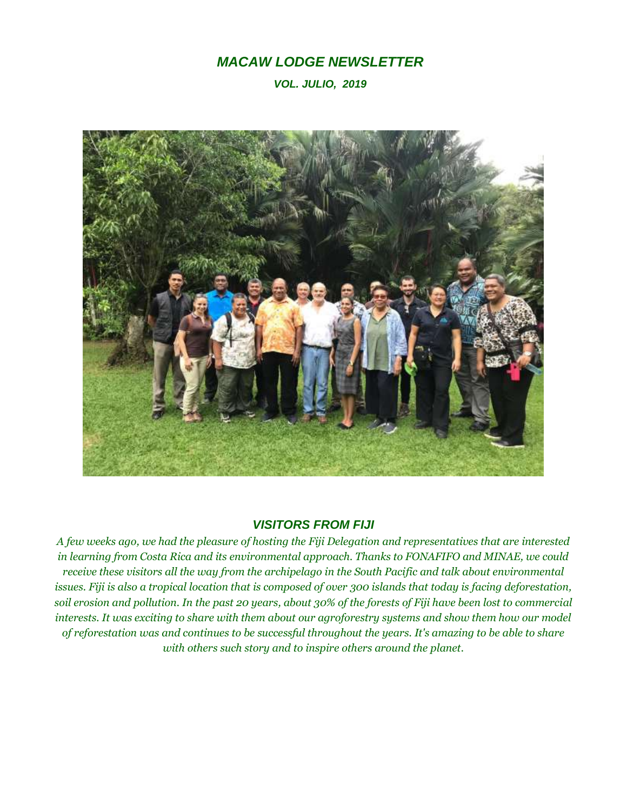## *MACAW LODGE NEWSLETTER*

*VOL. JULIO, 2019*



## *VISITORS FROM FIJI*

*A few weeks ago, we had the pleasure of hosting the Fiji Delegation and representatives that are interested in learning from Costa Rica and its environmental approach. Thanks to FONAFIFO and MINAE, we could receive these visitors all the way from the archipelago in the South Pacific and talk about environmental issues. Fiji is also a tropical location that is composed of over 300 islands that today is facing deforestation, soil erosion and pollution. In the past 20 years, about 30% of the forests of Fiji have been lost to commercial interests. It was exciting to share with them about our agroforestry systems and show them how our model of reforestation was and continues to be successful throughout the years. It's amazing to be able to share with others such story and to inspire others around the planet.*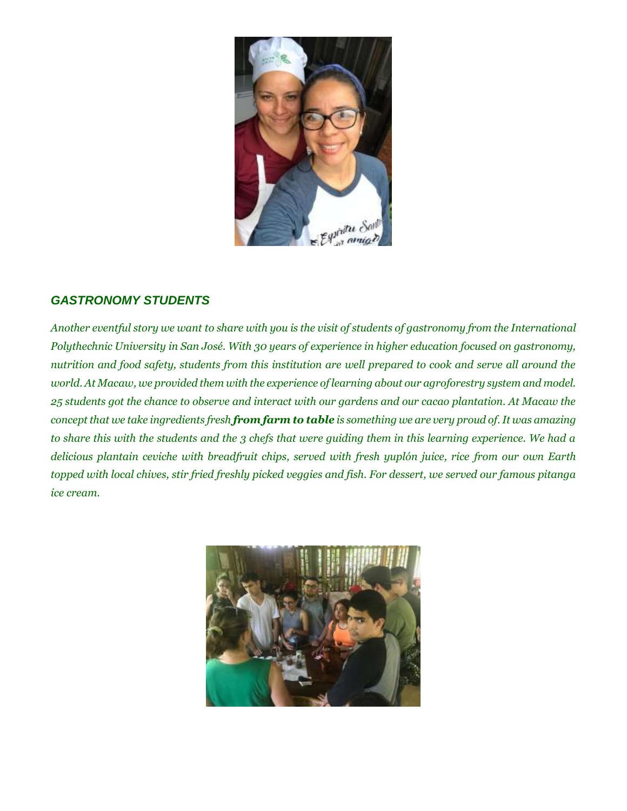

## *GASTRONOMY STUDENTS*

*Another eventful story we want to share with you is the visit of students of gastronomy from the International Polythechnic University in San José. With 30 years of experience in higher education focused on gastronomy, nutrition and food safety, students from this institution are well prepared to cook and serve all around the world. At Macaw, we provided them with the experience of learning about our agroforestry system and model. 25 students got the chance to observe and interact with our gardens and our cacao plantation. At Macaw the concept that we take ingredients fresh from farm to table is something we are very proud of. It was amazing to share this with the students and the 3 chefs that were guiding them in this learning experience. We had a delicious plantain ceviche with breadfruit chips, served with fresh yuplón juice, rice from our own Earth topped with local chives, stir fried freshly picked veggies and fish. For dessert, we served our famous pitanga ice cream.*